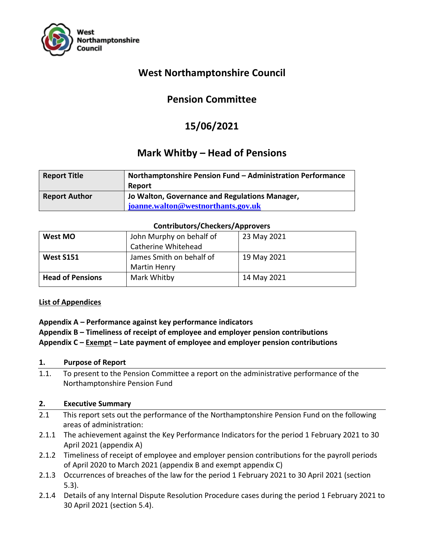

# **West Northamptonshire Council**

# **Pension Committee**

# **15/06/2021**

# **Mark Whitby – Head of Pensions**

| <b>Report Title</b>  | Northamptonshire Pension Fund - Administration Performance |  |  |
|----------------------|------------------------------------------------------------|--|--|
|                      | Report                                                     |  |  |
| <b>Report Author</b> | Jo Walton, Governance and Regulations Manager,             |  |  |
|                      | joanne.walton@westnorthants.gov.uk                         |  |  |

#### **Contributors/Checkers/Approvers**

#### **List of Appendices**

## **Appendix A – Performance against key performance indicators**

## **Appendix B – Timeliness of receipt of employee and employer pension contributions Appendix C – Exempt – Late payment of employee and employer pension contributions**

#### **1. Purpose of Report**

1.1. To present to the Pension Committee a report on the administrative performance of the Northamptonshire Pension Fund

#### **2. Executive Summary**

- 2.1 This report sets out the performance of the Northamptonshire Pension Fund on the following areas of administration:
- 2.1.1 The achievement against the Key Performance Indicators for the period 1 February 2021 to 30 April 2021 (appendix A)
- 2.1.2 Timeliness of receipt of employee and employer pension contributions for the payroll periods of April 2020 to March 2021 (appendix B and exempt appendix C)
- 2.1.3 Occurrences of breaches of the law for the period 1 February 2021 to 30 April 2021 (section 5.3).
- 2.1.4 Details of any Internal Dispute Resolution Procedure cases during the period 1 February 2021 to 30 April 2021 (section 5.4).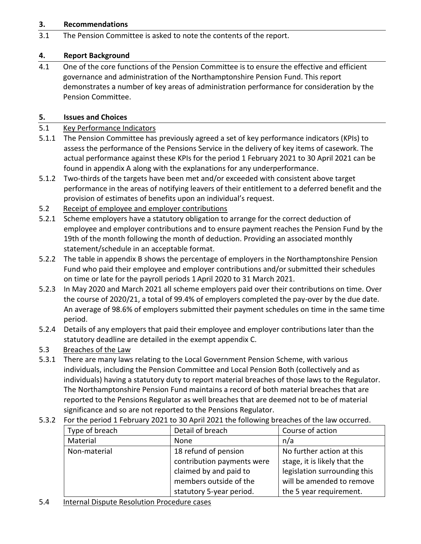#### **3. Recommendations**

3.1 The Pension Committee is asked to note the contents of the report.

#### **4. Report Background**

4.1 One of the core functions of the Pension Committee is to ensure the effective and efficient governance and administration of the Northamptonshire Pension Fund. This report demonstrates a number of key areas of administration performance for consideration by the Pension Committee.

#### **5. Issues and Choices**

#### 5.1 Key Performance Indicators

- 5.1.1 The Pension Committee has previously agreed a set of key performance indicators (KPIs) to assess the performance of the Pensions Service in the delivery of key items of casework. The actual performance against these KPIs for the period 1 February 2021 to 30 April 2021 can be found in appendix A along with the explanations for any underperformance.
- 5.1.2 Two-thirds of the targets have been met and/or exceeded with consistent above target performance in the areas of notifying leavers of their entitlement to a deferred benefit and the provision of estimates of benefits upon an individual's request.
- 5.2 Receipt of employee and employer contributions
- 5.2.1 Scheme employers have a statutory obligation to arrange for the correct deduction of employee and employer contributions and to ensure payment reaches the Pension Fund by the 19th of the month following the month of deduction. Providing an associated monthly statement/schedule in an acceptable format.
- 5.2.2 The table in appendix B shows the percentage of employers in the Northamptonshire Pension Fund who paid their employee and employer contributions and/or submitted their schedules on time or late for the payroll periods 1 April 2020 to 31 March 2021.
- 5.2.3 In May 2020 and March 2021 all scheme employers paid over their contributions on time. Over the course of 2020/21, a total of 99.4% of employers completed the pay-over by the due date. An average of 98.6% of employers submitted their payment schedules on time in the same time period.
- 5.2.4 Details of any employers that paid their employee and employer contributions later than the statutory deadline are detailed in the exempt appendix C.
- 5.3 Breaches of the Law
- 5.3.1 There are many laws relating to the Local Government Pension Scheme, with various individuals, including the Pension Committee and Local Pension Both (collectively and as individuals) having a statutory duty to report material breaches of those laws to the Regulator. The Northamptonshire Pension Fund maintains a record of both material breaches that are reported to the Pensions Regulator as well breaches that are deemed not to be of material significance and so are not reported to the Pensions Regulator.
	- Type of breach **Detail of breach** Course of action Material 1991 | None n/a Non-material 18 refund of pension contribution payments were claimed by and paid to members outside of the statutory 5-year period. No further action at this stage, it is likely that the legislation surrounding this will be amended to remove the 5 year requirement.
- 5.3.2 For the period 1 February 2021 to 30 April 2021 the following breaches of the law occurred.

#### 5.4 Internal Dispute Resolution Procedure cases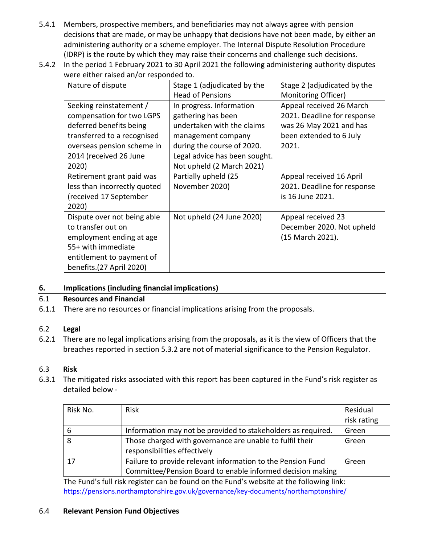- 5.4.1 Members, prospective members, and beneficiaries may not always agree with pension decisions that are made, or may be unhappy that decisions have not been made, by either an administering authority or a scheme employer. The Internal Dispute Resolution Procedure (IDRP) is the route by which they may raise their concerns and challenge such decisions.
- 5.4.2 In the period 1 February 2021 to 30 April 2021 the following administering authority disputes were either raised an/or responded to.

| Nature of dispute            | Stage 1 (adjudicated by the   | Stage 2 (adjudicated by the |  |
|------------------------------|-------------------------------|-----------------------------|--|
|                              | <b>Head of Pensions</b>       | Monitoring Officer)         |  |
| Seeking reinstatement /      | In progress. Information      | Appeal received 26 March    |  |
| compensation for two LGPS    | gathering has been            | 2021. Deadline for response |  |
| deferred benefits being      | undertaken with the claims    | was 26 May 2021 and has     |  |
| transferred to a recognised  | management company            | been extended to 6 July     |  |
| overseas pension scheme in   | during the course of 2020.    | 2021.                       |  |
| 2014 (received 26 June       | Legal advice has been sought. |                             |  |
| 2020)                        | Not upheld (2 March 2021)     |                             |  |
| Retirement grant paid was    | Partially upheld (25          | Appeal received 16 April    |  |
| less than incorrectly quoted | November 2020)                | 2021. Deadline for response |  |
| (received 17 September       |                               | is 16 June 2021.            |  |
| 2020)                        |                               |                             |  |
| Dispute over not being able  | Not upheld (24 June 2020)     | Appeal received 23          |  |
| to transfer out on           |                               | December 2020. Not upheld   |  |
| employment ending at age     |                               | (15 March 2021).            |  |
| 55+ with immediate           |                               |                             |  |
| entitlement to payment of    |                               |                             |  |
| benefits.(27 April 2020)     |                               |                             |  |

#### **6. Implications (including financial implications)**

#### 6.1 **Resources and Financial**

6.1.1 There are no resources or financial implications arising from the proposals.

#### 6.2 **Legal**

6.2.1 There are no legal implications arising from the proposals, as it is the view of Officers that the breaches reported in section 5.3.2 are not of material significance to the Pension Regulator.

#### 6.3 **Risk**

6.3.1 The mitigated risks associated with this report has been captured in the Fund's risk register as detailed below -

| Risk No. | <b>Risk</b>                                                  | Residual    |
|----------|--------------------------------------------------------------|-------------|
|          |                                                              | risk rating |
| 6        | Information may not be provided to stakeholders as required. | Green       |
| 8        | Those charged with governance are unable to fulfil their     | Green       |
|          | responsibilities effectively                                 |             |
| 17       | Failure to provide relevant information to the Pension Fund  | Green       |
|          | Committee/Pension Board to enable informed decision making   |             |

The Fund's full risk register can be found on the Fund's website at the following link: <https://pensions.northamptonshire.gov.uk/governance/key-documents/northamptonshire/>

#### 6.4 **Relevant Pension Fund Objectives**